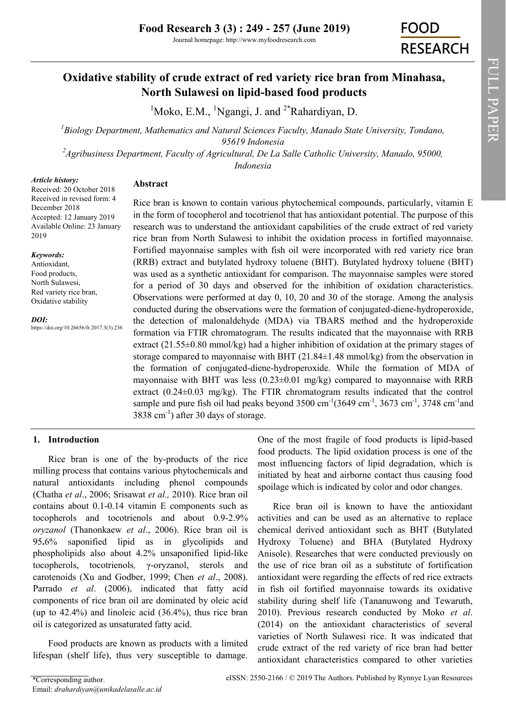# **Oxidative stability of crude extract of red variety rice bran from Minahasa, North Sulawesi on lipid-based food products**

<sup>1</sup>Moko, E.M., <sup>1</sup>Ngangi, J. and <sup>2\*</sup>Rahardiyan, D.

*<sup>1</sup>Biology Department, Mathematics and Natural Sciences Faculty, Manado State University, Tondano, 95619 Indonesia*

*<sup>2</sup>Agribusiness Department, Faculty of Agricultural, De La Salle Catholic University, Manado, 95000, Indonesia*

#### *Article history:*

**Abstract**

Received: 20 October 2018 Received in revised form: 4 December 2018 Accepted: 12 January 2019 Available Online: 23 January 2019

#### *Keywords:*

Antioxidant, Food products, North Sulawesi, Red variety rice bran, Oxidative stability

*DOI:*

https://doi.org/10.26656/fr.2017.3(3).236

Rice bran is known to contain various phytochemical compounds, particularly, vitamin E in the form of tocopherol and tocotrienol that has antioxidant potential. The purpose of this research was to understand the antioxidant capabilities of the crude extract of red variety rice bran from North Sulawesi to inhibit the oxidation process in fortified mayonnaise. Fortified mayonnaise samples with fish oil were incorporated with red variety rice bran (RRB) extract and butylated hydroxy toluene (BHT). Butylated hydroxy toluene (BHT) was used as a synthetic antioxidant for comparison. The mayonnaise samples were stored for a period of 30 days and observed for the inhibition of oxidation characteristics. Observations were performed at day 0, 10, 20 and 30 of the storage. Among the analysis conducted during the observations were the formation of conjugated-diene-hydroperoxide, the detection of malonaldehyde (MDA) via TBARS method and the hydroperoxide formation via FTIR chromatogram. The results indicated that the mayonnaise with RRB extract (21.55±0.80 mmol/kg) had a higher inhibition of oxidation at the primary stages of storage compared to mayonnaise with BHT  $(21.84\pm1.48 \text{ mmol/kg})$  from the observation in the formation of conjugated-diene-hydroperoxide. While the formation of MDA of mayonnaise with BHT was less (0.23±0.01 mg/kg) compared to mayonnaise with RRB extract  $(0.24\pm0.03 \text{ mg/kg})$ . The FTIR chromatogram results indicated that the control sample and pure fish oil had peaks beyond  $3500 \text{ cm}^{-1}$  $(3649 \text{ cm}^{-1}, 3673 \text{ cm}^{-1}, 3748 \text{ cm}^{-1}$ and  $3838$  cm<sup>-1</sup>) after 30 days of storage.

### **1. Introduction**

Rice bran is one of the by-products of the rice milling process that contains various phytochemicals and natural antioxidants including phenol compounds (Chatha *et al*., 2006; Srisawat *et al.,* 2010). Rice bran oil contains about 0.1-0.14 vitamin E components such as tocopherols and tocotrienols and about 0.9-2.9% *oryzanol* (Thanonkaew *et al*., 2006). Rice bran oil is 95**.**6% saponified lipid as in glycolipids and phospholipids also about 4.2% unsaponified lipid-like tocopherols, tocotrienols*,* γ-oryzanol, sterols and carotenoids (Xu and Godber, 1999; Chen *et al*., 2008). Parrado *et al*. (2006), indicated that fatty acid components of rice bran oil are dominated by oleic acid (up to 42.4%) and linoleic acid (36.4%), thus rice bran oil is categorized as unsaturated fatty acid.

Food products are known as products with a limited lifespan (shelf life), thus very susceptible to damage.

One of the most fragile of food products is lipid-based food products. The lipid oxidation process is one of the most influencing factors of lipid degradation, which is initiated by heat and airborne contact thus causing food spoilage which is indicated by color and odor changes.

Rice bran oil is known to have the antioxidant activities and can be used as an alternative to replace chemical derived antioxidant such as BHT (Butylated Hydroxy Toluene) and BHA (Butylated Hydroxy Anisole). Researches that were conducted previously on the use of rice bran oil as a substitute of fortification antioxidant were regarding the effects of red rice extracts in fish oil fortified mayonnaise towards its oxidative stability during shelf life (Tananuwong and Tewaruth, 2010). Previous research conducted by Moko *et al*. (2014) on the antioxidant characteristics of several varieties of North Sulawesi rice. It was indicated that crude extract of the red variety of rice bran had better antioxidant characteristics compared to other varieties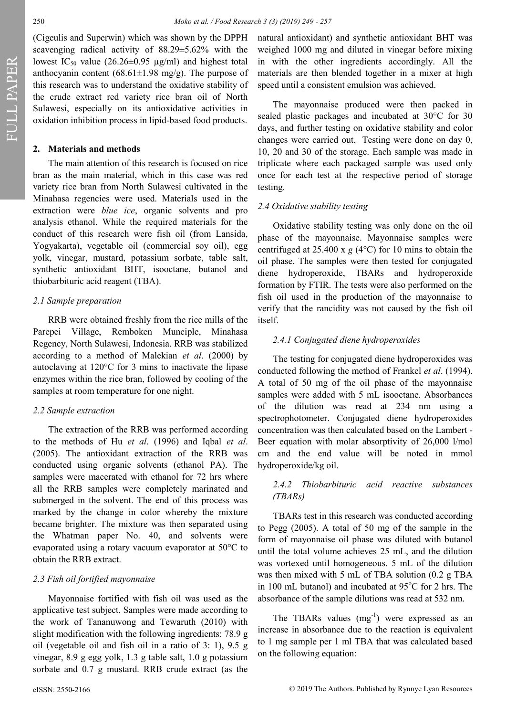(Cigeulis and Superwin) which was shown by the DPPH scavenging radical activity of 88.29±5.62% with the lowest IC<sub>50</sub> value (26.26±0.95 µg/ml) and highest total anthocyanin content (68.61 $\pm$ 1.98 mg/g). The purpose of this research was to understand the oxidative stability of the crude extract red variety rice bran oil of North Sulawesi, especially on its antioxidative activities in oxidation inhibition process in lipid-based food products.

#### **2. Materials and methods**

The main attention of this research is focused on rice bran as the main material, which in this case was red variety rice bran from North Sulawesi cultivated in the Minahasa regencies were used. Materials used in the extraction were *blue ice*, organic solvents and pro analysis ethanol. While the required materials for the conduct of this research were fish oil (from Lansida, Yogyakarta), vegetable oil (commercial soy oil), egg yolk, vinegar, mustard, potassium sorbate, table salt, synthetic antioxidant BHT, isooctane, butanol and thiobarbituric acid reagent (TBA).

#### *2.1 Sample preparation*

RRB were obtained freshly from the rice mills of the Parepei Village, Remboken Munciple, Minahasa Regency, North Sulawesi, Indonesia. RRB was stabilized according to a method of Malekian *et al*. (2000) by autoclaving at 120°C for 3 mins to inactivate the lipase enzymes within the rice bran, followed by cooling of the samples at room temperature for one night.

#### *2.2 Sample extraction*

The extraction of the RRB was performed according to the methods of Hu *et al*. (1996) and Iqbal *et al*. (2005). The antioxidant extraction of the RRB was conducted using organic solvents (ethanol PA). The samples were macerated with ethanol for 72 hrs where all the RRB samples were completely marinated and submerged in the solvent. The end of this process was marked by the change in color whereby the mixture became brighter. The mixture was then separated using the Whatman paper No. 40, and solvents were evaporated using a rotary vacuum evaporator at 50°C to obtain the RRB extract.

#### *2.3 Fish oil fortified mayonnaise*

Mayonnaise fortified with fish oil was used as the applicative test subject. Samples were made according to the work of Tananuwong and Tewaruth (2010) with slight modification with the following ingredients: 78.9 g oil (vegetable oil and fish oil in a ratio of 3: 1), 9.5 g vinegar, 8.9 g egg yolk, 1.3 g table salt, 1.0 g potassium sorbate and 0.7 g mustard. RRB crude extract (as the

natural antioxidant) and synthetic antioxidant BHT was weighed 1000 mg and diluted in vinegar before mixing in with the other ingredients accordingly. All the materials are then blended together in a mixer at high speed until a consistent emulsion was achieved.

The mayonnaise produced were then packed in sealed plastic packages and incubated at 30°C for 30 days, and further testing on oxidative stability and color changes were carried out. Testing were done on day 0, 10, 20 and 30 of the storage. Each sample was made in triplicate where each packaged sample was used only once for each test at the respective period of storage testing.

#### *2.4 Oxidative stability testing*

Oxidative stability testing was only done on the oil phase of the mayonnaise. Mayonnaise samples were centrifuged at 25.400 x  $g$  (4 $\degree$ C) for 10 mins to obtain the oil phase. The samples were then tested for conjugated diene hydroperoxide, TBARs and hydroperoxide formation by FTIR. The tests were also performed on the fish oil used in the production of the mayonnaise to verify that the rancidity was not caused by the fish oil itself.

#### *2.4.1 Conjugated diene hydroperoxides*

The testing for conjugated diene hydroperoxides was conducted following the method of Frankel *et al*. (1994). A total of 50 mg of the oil phase of the mayonnaise samples were added with 5 mL isooctane. Absorbances of the dilution was read at 234 nm using a spectrophotometer. Conjugated diene hydroperoxides concentration was then calculated based on the Lambert - Beer equation with molar absorptivity of 26,000 l/mol cm and the end value will be noted in mmol hydroperoxide/kg oil.

## *2.4.2 Thiobarbituric acid reactive substances (TBARs)*

TBARs test in this research was conducted according to Pegg (2005). A total of 50 mg of the sample in the form of mayonnaise oil phase was diluted with butanol until the total volume achieves 25 mL, and the dilution was vortexed until homogeneous. 5 mL of the dilution was then mixed with 5 mL of TBA solution (0.2 g TBA in 100 mL butanol) and incubated at  $95^{\circ}$ C for 2 hrs. The absorbance of the sample dilutions was read at 532 nm.

The TBARs values  $(mg^{-1})$  were expressed as an increase in absorbance due to the reaction is equivalent to 1 mg sample per 1 ml TBA that was calculated based on the following equation: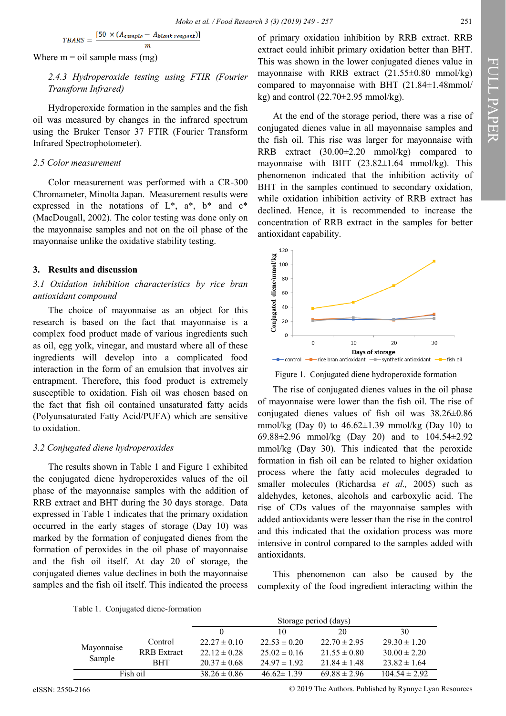$$
TBARS = \frac{[50 \times (A_{sample} - A_{blank \ reagent})]}{m}
$$

Where  $m = oil$  sample mass (mg)

## 2.4.3 Hydroperoxide testing using FTIR (Fourier *Transform Infrared)*

Hydroperoxide formation in the samples and the fish oil was measured by changes in the infrared spectrum using the Bruker Tensor 37 FTIR (Fourier Transform Infrared Spectrophotometer).

### *2.5 Color measurement*

Color measurement was performed with a CR-300 Chromameter, Minolta Japan. Measurement results were expressed in the notations of  $L^*$ ,  $a^*$ ,  $b^*$  and  $c^*$ (MacDougall, 2002). The color testing was done only on the mayonnaise samples and not on the oil phase of the mayonnaise unlike the oxidative stability testing.

### **3. Results and discussion**

### *3.1 Oxidation inhibition characteristics by rice bran antioxidant compound*

The choice of mayonnaise as an object for this research is based on the fact that mayonnaise is a complex food product made of various ingredients such as oil, egg yolk, vinegar, and mustard where all of these ingredients will develop into a complicated food interaction in the form of an emulsion that involves air entrapment. Therefore, this food product is extremely susceptible to oxidation. Fish oil was chosen based on the fact that fish oil contained unsaturated fatty acids (Polyunsaturated Fatty Acid/PUFA) which are sensitive to oxidation.

### *3.2 Conjugated diene hydroperoxides*

The results shown in Table 1 and Figure 1 exhibited the conjugated diene hydroperoxides values of the oil phase of the mayonnaise samples with the addition of RRB extract and BHT during the 30 days storage. Data expressed in Table 1 indicates that the primary oxidation occurred in the early stages of storage (Day 10) was marked by the formation of conjugated dienes from the formation of peroxides in the oil phase of mayonnaise and the fish oil itself. At day 20 of storage, the conjugated dienes value declines in both the mayonnaise samples and the fish oil itself. This indicated the process

of primary oxidation inhibition by RRB extract. RRB extract could inhibit primary oxidation better than BHT. This was shown in the lower conjugated dienes value in mayonnaise with RRB extract  $(21.55\pm0.80 \text{ mmol/kg})$ compared to mayonnaise with BHT (21.84±1.48mmol/ kg) and control  $(22.70 \pm 2.95 \text{ mmol/kg})$ .

At the end of the storage period, there was a rise of conjugated dienes value in all mayonnaise samples and the fish oil. This rise was larger for mayonnaise with RRB extract (30.00±2.20 mmol/kg) compared to mayonnaise with BHT  $(23.82 \pm 1.64 \text{ mmol/kg})$ . This phenomenon indicated that the inhibition activity of BHT in the samples continued to secondary oxidation, while oxidation inhibition activity of RRB extract has declined. Hence, it is recommended to increase the concentration of RRB extract in the samples for better antioxidant capability.



Figure 1. Conjugated diene hydroperoxide formation

The rise of conjugated dienes values in the oil phase of mayonnaise were lower than the fish oil. The rise of conjugated dienes values of fish oil was 38.26±0.86 mmol/kg (Day 0) to  $46.62 \pm 1.39$  mmol/kg (Day 10) to 69.88±2.96 mmol/kg (Day 20) and to 104.54±2.92 mmol/kg (Day 30). This indicated that the peroxide formation in fish oil can be related to higher oxidation process where the fatty acid molecules degraded to smaller molecules (Richardsa *et al.,* 2005) such as aldehydes, ketones, alcohols and carboxylic acid. The rise of CDs values of the mayonnaise samples with added antioxidants were lesser than the rise in the control and this indicated that the oxidation process was more intensive in control compared to the samples added with antioxidants.

This phenomenon can also be caused by the complexity of the food ingredient interacting within the

| Table 1. Conjugated diene-formation |  |  |  |  |
|-------------------------------------|--|--|--|--|
|-------------------------------------|--|--|--|--|

|            |                    | Storage period (days) |                  |                  |                   |
|------------|--------------------|-----------------------|------------------|------------------|-------------------|
|            |                    |                       | 10               | 20               | 30                |
| Mayonnaise | Control            | $22.27 \pm 0.10$      | $22.53 \pm 0.20$ | $22.70 \pm 2.95$ | $29.30 \pm 1.20$  |
|            | <b>RRB</b> Extract | $22.12 \pm 0.28$      | $25.02 \pm 0.16$ | $21.55 \pm 0.80$ | $30.00 \pm 2.20$  |
| Sample     | <b>BHT</b>         | $20.37 \pm 0.68$      | $24.97 \pm 1.92$ | $21.84 \pm 1.48$ | $23.82 \pm 1.64$  |
| Fish oil   |                    | $38.26 \pm 0.86$      | $46.62 \pm 1.39$ | $69.88 \pm 2.96$ | $104.54 \pm 2.92$ |

eISSN: 2550-2166 © 2019 The Authors. Published by Rynnye Lyan Resources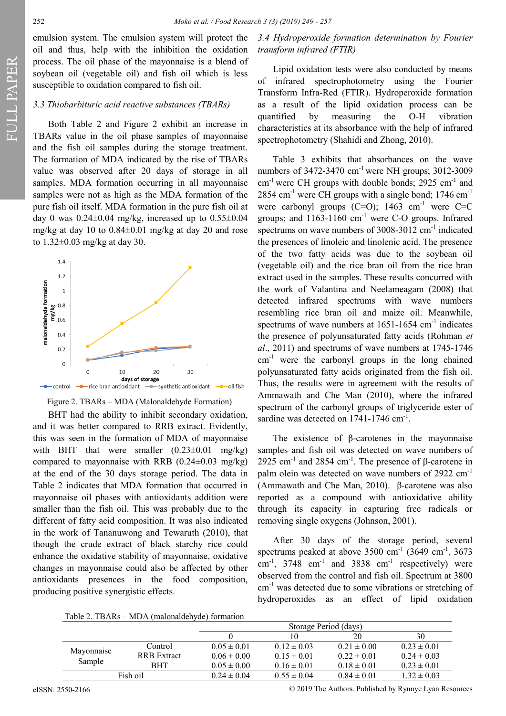FULL PAPER

emulsion system. The emulsion system will protect the oil and thus, help with the inhibition the oxidation process. The oil phase of the mayonnaise is a blend of soybean oil (vegetable oil) and fish oil which is less susceptible to oxidation compared to fish oil.

### *3.3 Thiobarbituric acid reactive substances (TBARs)*

Both Table 2 and Figure 2 exhibit an increase in TBARs value in the oil phase samples of mayonnaise and the fish oil samples during the storage treatment. The formation of MDA indicated by the rise of TBARs value was observed after 20 days of storage in all samples. MDA formation occurring in all mayonnaise samples were not as high as the MDA formation of the pure fish oil itself. MDA formation in the pure fish oil at day 0 was  $0.24 \pm 0.04$  mg/kg, increased up to  $0.55 \pm 0.04$ mg/kg at day 10 to 0.84±0.01 mg/kg at day 20 and rose to 1.32±0.03 mg/kg at day 30.



Figure 2. TBARs – MDA (Malonaldehyde Formation)

BHT had the ability to inhibit secondary oxidation, and it was better compared to RRB extract. Evidently, this was seen in the formation of MDA of mayonnaise with BHT that were smaller  $(0.23\pm0.01 \text{ mg/kg})$ compared to mayonnaise with RRB  $(0.24\pm0.03 \text{ mg/kg})$ at the end of the 30 days storage period. The data in Table 2 indicates that MDA formation that occurred in mayonnaise oil phases with antioxidants addition were smaller than the fish oil. This was probably due to the different of fatty acid composition. It was also indicated in the work of Tananuwong and Tewaruth (2010), that though the crude extract of black starchy rice could enhance the oxidative stability of mayonnaise, oxidative changes in mayonnaise could also be affected by other antioxidants presences in the food composition, producing positive synergistic effects.

*3.4 Hydroperoxide formation determination by Fourier transform infrared (FTIR)*

Lipid oxidation tests were also conducted by means of infrared spectrophotometry using the Fourier Transform Infra-Red (FTIR). Hydroperoxide formation as a result of the lipid oxidation process can be quantified by measuring the O-H vibration characteristics at its absorbance with the help of infrared spectrophotometry (Shahidi and Zhong, 2010).

Table 3 exhibits that absorbances on the wave numbers of  $3472-3470$  cm<sup>-1</sup> were NH groups;  $3012-3009$  $cm^{-1}$  were CH groups with double bonds; 2925  $cm^{-1}$  and  $2854$  cm<sup>-1</sup> were CH groups with a single bond; 1746 cm<sup>-1</sup> were carbonyl groups  $(C=O)$ ; 1463 cm<sup>-1</sup> were  $C=C$ groups; and  $1163-1160$  cm<sup>-1</sup> were C-O groups. Infrared spectrums on wave numbers of  $3008-3012$  cm<sup>-1</sup> indicated the presences of linoleic and linolenic acid. The presence of the two fatty acids was due to the soybean oil (vegetable oil) and the rice bran oil from the rice bran extract used in the samples. These results concurred with the work of Valantina and Neelameagam (2008) that detected infrared spectrums with wave numbers resembling rice bran oil and maize oil. Meanwhile, spectrums of wave numbers at  $1651-1654$  cm<sup>-1</sup> indicates the presence of polyunsaturated fatty acids (Rohman *et al*., 2011) and spectrums of wave numbers at 1745-1746  $cm<sup>-1</sup>$  were the carbonyl groups in the long chained polyunsaturated fatty acids originated from the fish oil. Thus, the results were in agreement with the results of Ammawath and Che Man (2010), where the infrared spectrum of the carbonyl groups of triglyceride ester of sardine was detected on  $1741-1746$  cm<sup>-1</sup>.

The existence of β-carotenes in the mayonnaise samples and fish oil was detected on wave numbers of 2925 cm<sup>-1</sup> and 2854 cm<sup>-1</sup>. The presence of  $\beta$ -carotene in palm olein was detected on wave numbers of 2922 cm<sup>-1</sup> (Ammawath and Che Man, 2010). β-carotene was also reported as a compound with antioxidative ability through its capacity in capturing free radicals or removing single oxygens (Johnson, 2001).

After 30 days of the storage period, several spectrums peaked at above  $3500 \text{ cm}^{-1}$  (3649 cm<sup>-1</sup>, 3673 cm<sup>-1</sup>, 3748 cm<sup>-1</sup> and 3838 cm<sup>-1</sup> respectively) were observed from the control and fish oil. Spectrum at 3800 cm<sup>-1</sup> was detected due to some vibrations or stretching of hydroperoxides as an effect of lipid oxidation

Table 2. TBARs – MDA (malonaldehyde) formation

|            |                    | Storage Period (days) |                 |                 |                 |
|------------|--------------------|-----------------------|-----------------|-----------------|-----------------|
|            |                    |                       | 10              | 20              | 30              |
|            | Control            | $0.05 \pm 0.01$       | $0.12 \pm 0.03$ | $0.21 \pm 0.00$ | $0.23 \pm 0.01$ |
| Mayonnaise | <b>RRB</b> Extract | $0.06 \pm 0.00$       | $0.15 \pm 0.01$ | $0.22 \pm 0.01$ | $0.24 \pm 0.03$ |
| Sample     | <b>BHT</b>         | $0.05 \pm 0.00$       | $0.16 \pm 0.01$ | $0.18 \pm 0.01$ | $0.23 \pm 0.01$ |
| Fish oil   |                    | $0.24 \pm 0.04$       | $0.55 \pm 0.04$ | $0.84 \pm 0.01$ | $1.32 \pm 0.03$ |

eISSN: 2550-2166 © 2019 The Authors. Published by Rynnye Lyan Resources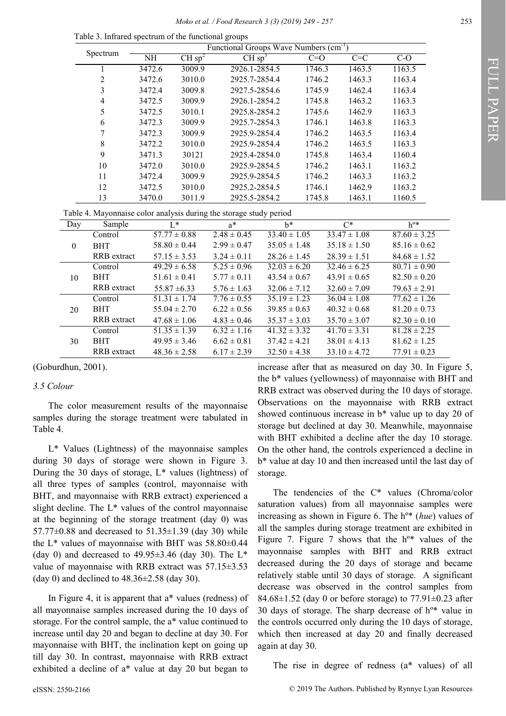| Functional Groups Wave Numbers (cm <sup>-1</sup> )<br>Spectrum |                |        |                   |                                                                    |                  |        |                               |                  |
|----------------------------------------------------------------|----------------|--------|-------------------|--------------------------------------------------------------------|------------------|--------|-------------------------------|------------------|
|                                                                |                | NH     | CHsp <sup>2</sup> | CHsp <sup>3</sup>                                                  |                  | $C=O$  | $\overline{C} = \overline{C}$ | $C-O$            |
|                                                                | 1              | 3472.6 | 3009.9            | 2926.1-2854.5                                                      |                  | 1746.3 | 1463.5                        | 1163.5           |
|                                                                | $\sqrt{2}$     | 3472.6 | 3010.0            | 2925.7-2854.4                                                      |                  | 1746.2 | 1463.3                        | 1163.4           |
|                                                                | 3              | 3472.4 | 3009.8            | 2927.5-2854.6                                                      |                  | 1745.9 | 1462.4                        | 1163.4           |
|                                                                | $\overline{4}$ | 3472.5 | 3009.9            | 2926.1-2854.2                                                      |                  | 1745.8 | 1463.2                        | 1163.3           |
|                                                                | 5              | 3472.5 | 3010.1            | 2925.8-2854.2                                                      |                  | 1745.6 | 1462.9                        | 1163.3           |
|                                                                | 6              | 3472.3 | 3009.9            | 2925.7-2854.3                                                      |                  | 1746.1 | 1463.8                        | 1163.3           |
|                                                                | 7              | 3472.3 | 3009.9            | 2925.9-2854.4                                                      |                  | 1746.2 | 1463.5                        | 1163.4           |
|                                                                | $\,8\,$        | 3472.2 | 3010.0            | 2925.9-2854.4                                                      |                  | 1746.2 | 1463.5                        | 1163.3           |
|                                                                | 9              | 3471.3 | 30121             | 2925.4-2854.0                                                      |                  | 1745.8 | 1463.4                        | 1160.4           |
|                                                                | 10             | 3472.0 | 3010.0            | 2925.9-2854.5                                                      |                  | 1746.2 | 1463.1                        | 1163.2           |
|                                                                | 11             | 3472.4 | 3009.9            | 2925.9-2854.5                                                      |                  | 1746.2 | 1463.3                        | 1163.2           |
|                                                                | 12             | 3472.5 | 3010.0            | 2925.2-2854.5                                                      |                  | 1746.1 | 1462.9                        | 1163.2           |
|                                                                | 13             | 3470.0 | 3011.9            | 2925.5-2854.2                                                      |                  | 1745.8 | 1463.1                        | 1160.5           |
|                                                                |                |        |                   | Table 4. Mayonnaise color analysis during the storage study period |                  |        |                               |                  |
| Day                                                            | Sample         |        | $I^*$             | $a^*$                                                              | $h^*$            |        | $C^*$                         | $h^{0*}$         |
| Control                                                        |                |        | $57.77 \pm 0.88$  | $2.48 \pm 0.45$                                                    | $33.40 \pm 1.05$ |        | $33.47 \pm 1.08$              | $87.60 \pm 3.25$ |
| $\boldsymbol{0}$                                               | <b>BHT</b>     |        | $58.80 \pm 0.44$  | $2.99 \pm 0.47$                                                    | $35.05 \pm 1.48$ |        | $35.18 \pm 1.50$              | $85.16 \pm 0.62$ |
|                                                                | RRB extract    |        | $57.15 \pm 3.53$  | $3.24 \pm 0.11$                                                    | $28.26 \pm 1.45$ |        | $28.39 \pm 1.51$              | $84.68 \pm 1.52$ |
|                                                                | Control        |        | $49.29 \pm 6.58$  | $5.25 \pm 0.96$                                                    | $32.03 \pm 6.20$ |        | $32.46 \pm 6.25$              | $80.71 \pm 0.90$ |
| 10                                                             | <b>BHT</b>     |        | $51.61 \pm 0.41$  | $5.77 \pm 0.11$                                                    | $43.54 \pm 0.67$ |        | $43.91 \pm 0.65$              | $82.50 \pm 0.20$ |
|                                                                | RRB extract    |        | $55.87 \pm 6.33$  | $5.76 \pm 1.63$                                                    | $32.06 \pm 7.12$ |        | $32.60 \pm 7.09$              | $79.63 \pm 2.91$ |
|                                                                | Control        |        | $51.31 \pm 1.74$  | $7.76 \pm 0.55$                                                    | $35.19 \pm 1.23$ |        | $36.04 \pm 1.08$              | $77.62 \pm 1.26$ |
| 20                                                             | <b>BHT</b>     |        | $55.04 \pm 2.70$  | $6.22 \pm 0.56$                                                    | $39.85 \pm 0.63$ |        | $40.32 \pm 0.68$              | $81.20 \pm 0.73$ |
|                                                                | RRB extract    |        | $47.68 \pm 1.06$  | $4.83 \pm 0.46$                                                    | $35.37 \pm 3.03$ |        | $35.70 \pm 3.07$              | $82.30 \pm 0.10$ |
|                                                                | Control        |        | $51.35 \pm 1.39$  | $6.32 \pm 1.16$                                                    | $41.32 \pm 3.32$ |        | $41.70 \pm 3.31$              | $81.28 \pm 2.25$ |
|                                                                |                |        |                   |                                                                    |                  |        | $38.01 \pm 4.13$              | $81.62 \pm 1.25$ |
| 30                                                             | <b>BHT</b>     |        | $49.95 \pm 3.46$  | $6.62 \pm 0.81$                                                    | $37.42 \pm 4.21$ |        |                               |                  |

Table 3. Infrared spectrum of the functional groups

(Goburdhun, 2001).

### *3.5 Colour*

The color measurement results of the mayonnaise samples during the storage treatment were tabulated in Table 4.

L\* Values (Lightness) of the mayonnaise samples during 30 days of storage were shown in Figure 3. During the 30 days of storage,  $L^*$  values (lightness) of all three types of samples (control, mayonnaise with BHT, and mayonnaise with RRB extract) experienced a slight decline. The L\* values of the control mayonnaise at the beginning of the storage treatment (day 0) was 57.77 $\pm$ 0.88 and decreased to 51.35 $\pm$ 1.39 (day 30) while the  $L^*$  values of mayonnaise with BHT was  $58.80\pm0.44$ (day 0) and decreased to  $49.95\pm3.46$  (day 30). The L<sup>\*</sup> value of mayonnaise with RRB extract was 57.15±3.53 (day 0) and declined to  $48.36 \pm 2.58$  (day 30).

In Figure 4, it is apparent that a\* values (redness) of all mayonnaise samples increased during the 10 days of storage. For the control sample, the a\* value continued to increase until day 20 and began to decline at day 30. For mayonnaise with BHT, the inclination kept on going up till day 30. In contrast, mayonnaise with RRB extract exhibited a decline of a\* value at day 20 but began to

increase after that as measured on day 30. In Figure 5, the b\* values (yellowness) of mayonnaise with BHT and RRB extract was observed during the 10 days of storage. Observations on the mayonnaise with RRB extract showed continuous increase in b\* value up to day 20 of storage but declined at day 30. Meanwhile, mayonnaise with BHT exhibited a decline after the day 10 storage. On the other hand, the controls experienced a decline in b\* value at day 10 and then increased until the last day of storage.

The tendencies of the C\* values (Chroma/color saturation values) from all mayonnaise samples were increasing as shown in Figure 6. The hº\* (*hue*) values of all the samples during storage treatment are exhibited in Figure 7. Figure 7 shows that the  $h^{\circ*}$  values of the mayonnaise samples with BHT and RRB extract decreased during the 20 days of storage and became relatively stable until 30 days of storage. A significant decrease was observed in the control samples from 84.68 $\pm$ 1.52 (day 0 or before storage) to 77.91 $\pm$ 0.23 after 30 days of storage. The sharp decrease of  $h^{\circ*}$  value in the controls occurred only during the 10 days of storage, which then increased at day 20 and finally decreased again at day 30.

The rise in degree of redness (a\* values) of all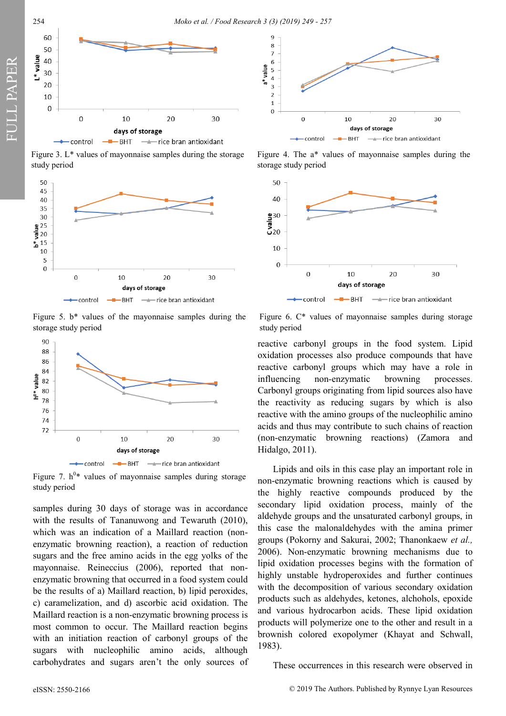



Figure 3. L\* values of mayonnaise samples during the storage study period



Figure 5. b\* values of the mayonnaise samples during the storage study period



Figure 7.  $h^{0*}$  values of mayonnaise samples during storage study period

samples during 30 days of storage was in accordance with the results of Tananuwong and Tewaruth (2010), which was an indication of a Maillard reaction (nonenzymatic browning reaction), a reaction of reduction sugars and the free amino acids in the egg yolks of the mayonnaise. Reineccius (2006), reported that nonenzymatic browning that occurred in a food system could be the results of a) Maillard reaction, b) lipid peroxides, c) caramelization, and d) ascorbic acid oxidation. The Maillard reaction is a non-enzymatic browning process is most common to occur. The Maillard reaction begins with an initiation reaction of carbonyl groups of the sugars with nucleophilic amino acids, although carbohydrates and sugars aren't the only sources of



Figure 4. The a\* values of mayonnaise samples during the storage study period



Figure 6. C\* values of mayonnaise samples during storage study period

reactive carbonyl groups in the food system. Lipid oxidation processes also produce compounds that have reactive carbonyl groups which may have a role in influencing non-enzymatic browning processes. Carbonyl groups originating from lipid sources also have the reactivity as reducing sugars by which is also reactive with the amino groups of the nucleophilic amino acids and thus may contribute to such chains of reaction (non-enzymatic browning reactions) (Zamora and Hidalgo, 2011).

Lipids and oils in this case play an important role in non-enzymatic browning reactions which is caused by the highly reactive compounds produced by the secondary lipid oxidation process, mainly of the aldehyde groups and the unsaturated carbonyl groups, in this case the malonaldehydes with the amina primer groups (Pokorny and Sakurai, 2002; Thanonkaew *et al.,* 2006). Non-enzymatic browning mechanisms due to lipid oxidation processes begins with the formation of highly unstable hydroperoxides and further continues with the decomposition of various secondary oxidation products such as aldehydes, ketones, alchohols, epoxide and various hydrocarbon acids. These lipid oxidation products will polymerize one to the other and result in a brownish colored exopolymer (Khayat and Schwall, 1983).

These occurrences in this research were observed in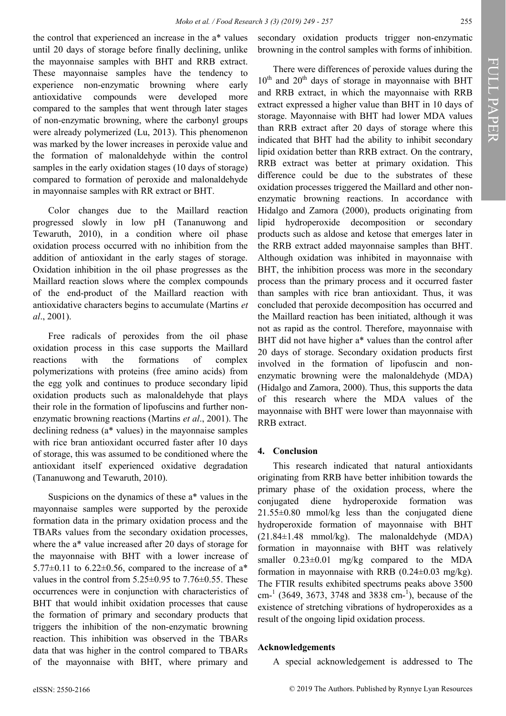the control that experienced an increase in the a\* values until 20 days of storage before finally declining, unlike the mayonnaise samples with BHT and RRB extract. These mayonnaise samples have the tendency to experience non-enzymatic browning where early antioxidative compounds were developed more compared to the samples that went through later stages of non-enzymatic browning, where the carbonyl groups were already polymerized (Lu, 2013). This phenomenon was marked by the lower increases in peroxide value and the formation of malonaldehyde within the control samples in the early oxidation stages (10 days of storage) compared to formation of peroxide and malonaldehyde in mayonnaise samples with RR extract or BHT.

Color changes due to the Maillard reaction progressed slowly in low pH (Tananuwong and Tewaruth, 2010), in a condition where oil phase oxidation process occurred with no inhibition from the addition of antioxidant in the early stages of storage. Oxidation inhibition in the oil phase progresses as the Maillard reaction slows where the complex compounds of the end-product of the Maillard reaction with antioxidative characters begins to accumulate (Martins *et al*., 2001).

Free radicals of peroxides from the oil phase oxidation process in this case supports the Maillard reactions with the formations of complex polymerizations with proteins (free amino acids) from the egg yolk and continues to produce secondary lipid oxidation products such as malonaldehyde that plays their role in the formation of lipofuscins and further nonenzymatic browning reactions (Martins *et al*., 2001). The declining redness (a\* values) in the mayonnaise samples with rice bran antioxidant occurred faster after 10 days of storage, this was assumed to be conditioned where the antioxidant itself experienced oxidative degradation (Tananuwong and Tewaruth, 2010).

Suspicions on the dynamics of these a\* values in the mayonnaise samples were supported by the peroxide formation data in the primary oxidation process and the TBARs values from the secondary oxidation processes, where the a\* value increased after 20 days of storage for the mayonnaise with BHT with a lower increase of 5.77 $\pm$ 0.11 to 6.22 $\pm$ 0.56, compared to the increase of a<sup>\*</sup> values in the control from  $5.25\pm0.95$  to  $7.76\pm0.55$ . These occurrences were in conjunction with characteristics of BHT that would inhibit oxidation processes that cause the formation of primary and secondary products that triggers the inhibition of the non-enzymatic browning reaction. This inhibition was observed in the TBARs data that was higher in the control compared to TBARs of the mayonnaise with BHT, where primary and

secondary oxidation products trigger non-enzymatic browning in the control samples with forms of inhibition.

There were differences of peroxide values during the  $10^{th}$  and  $20^{th}$  days of storage in mayonnaise with BHT and RRB extract, in which the mayonnaise with RRB extract expressed a higher value than BHT in 10 days of storage. Mayonnaise with BHT had lower MDA values than RRB extract after 20 days of storage where this indicated that BHT had the ability to inhibit secondary lipid oxidation better than RRB extract. On the contrary, RRB extract was better at primary oxidation. This difference could be due to the substrates of these oxidation processes triggered the Maillard and other nonenzymatic browning reactions. In accordance with Hidalgo and Zamora (2000), products originating from lipid hydroperoxide decomposition or secondary products such as aldose and ketose that emerges later in the RRB extract added mayonnaise samples than BHT. Although oxidation was inhibited in mayonnaise with BHT, the inhibition process was more in the secondary process than the primary process and it occurred faster than samples with rice bran antioxidant. Thus, it was concluded that peroxide decomposition has occurred and the Maillard reaction has been initiated, although it was not as rapid as the control. Therefore, mayonnaise with BHT did not have higher a\* values than the control after 20 days of storage. Secondary oxidation products first involved in the formation of lipofuscin and nonenzymatic browning were the malonaldehyde (MDA) (Hidalgo and Zamora, 2000). Thus, this supports the data of this research where the MDA values of the mayonnaise with BHT were lower than mayonnaise with RRB extract.

### **4. Conclusion**

This research indicated that natural antioxidants originating from RRB have better inhibition towards the primary phase of the oxidation process, where the conjugated diene hydroperoxide formation was  $21.55\pm0.80$  mmol/kg less than the conjugated diene hydroperoxide formation of mayonnaise with BHT (21.84±1.48 mmol/kg). The malonaldehyde (MDA) formation in mayonnaise with BHT was relatively smaller 0.23±0.01 mg/kg compared to the MDA formation in mayonnaise with RRB  $(0.24 \pm 0.03 \text{ mg/kg})$ . The FTIR results exhibited spectrums peaks above 3500  $cm<sup>-1</sup>$  (3649, 3673, 3748 and 3838 cm-<sup>1</sup>), because of the existence of stretching vibrations of hydroperoxides as a result of the ongoing lipid oxidation process.

# **Acknowledgements**

A special acknowledgement is addressed to The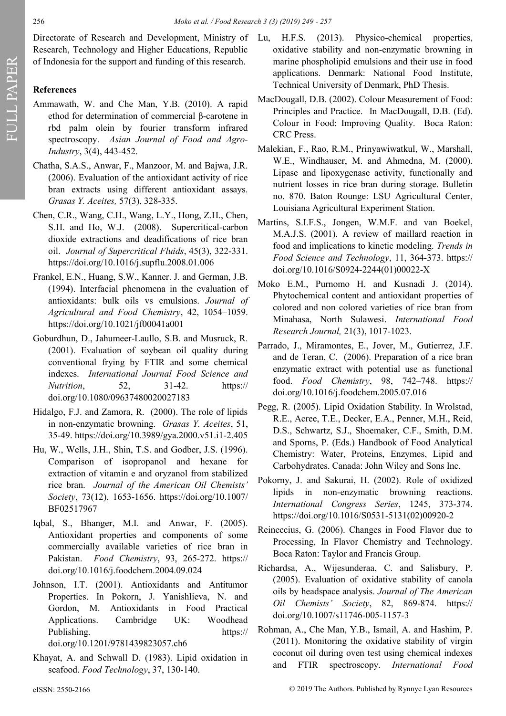Directorate of Research and Development, Ministry of Lu, Research, Technology and Higher Educations, Republic of Indonesia for the support and funding of this research.

# **References**

- Ammawath, W. and Che Man, Y.B. (2010). A rapid ethod for determination of commercial β-carotene in rbd palm olein by fourier transform infrared spectroscopy. *Asian Journal of Food and Agro-Industry*, 3(4), 443-452.
- Chatha, S.A.S., Anwar, F., Manzoor, M. and Bajwa, J.R. (2006). Evaluation of the antioxidant activity of rice bran extracts using different antioxidant assays. *Grasas Y. Aceites,* 57(3), 328-335.
- Chen, C.R., Wang, C.H., Wang, L.Y., Hong, Z.H., Chen, S.H. and Ho, W.J. (2008). Supercritical-carbon dioxide extractions and deadifications of rice bran oil. *Journal of Supercritical Fluids*, 45(3), 322-331. https://doi.org/10.1016/j.supflu.2008.01.006
- Frankel, E.N., Huang, S.W., Kanner. J. and German, J.B. (1994). Interfacial phenomena in the evaluation of antioxidants: bulk oils vs emulsions. *Journal of Agricultural and Food Chemistry*, 42, 1054–1059. https://doi.org/10.1021/jf00041a001
- Goburdhun, D., Jahumeer-Laullo, S.B. and Musruck, R. (2001). Evaluation of soybean oil quality during conventional frying by FTIR and some chemical indexes. *International Journal Food Science and Nutrition*, 52, 31-42. https:// doi.org/10.1080/09637480020027183
- Hidalgo, F.J. and Zamora, R. (2000). The role of lipids in non-enzymatic browning. *Grasas Y. Aceites*, 51, 35-49. https://doi.org/10.3989/gya.2000.v51.i1-2.405
- Hu, W., Wells, J.H., Shin, T.S. and Godber, J.S. (1996). Comparison of isopropanol and hexane for extraction of vitamin e and oryzanol from stabilized rice bran. *Journal of the American Oil Chemists' Society*, 73(12), 1653-1656. https://doi.org/10.1007/ BF02517967
- Iqbal, S., Bhanger, M.I. and Anwar, F. (2005). Antioxidant properties and components of some commercially available varieties of rice bran in Pakistan. *Food Chemistry*, 93, 265-272. https:// doi.org/10.1016/j.foodchem.2004.09.024
- Johnson, I.T. (2001). Antioxidants and Antitumor Properties. In Pokorn, J. Yanishlieva, N. and Gordon, M. Antioxidants in Food Practical Applications. Cambridge UK: Woodhead Publishing. https:// doi.org/10.1201/9781439823057.ch6
- Khayat, A. and Schwall D. (1983). Lipid oxidation in seafood. *Food Technology*, 37, 130-140.
- H.F.S. (2013). Physico-chemical properties, oxidative stability and non-enzymatic browning in marine phospholipid emulsions and their use in food applications. Denmark: National Food Institute, Technical University of Denmark, PhD Thesis.
- MacDougall, D.B. (2002). Colour Measurement of Food: Principles and Practice. In MacDougall, D.B. (Ed). Colour in Food: Improving Quality. Boca Raton: CRC Press.
- Malekian, F., Rao, R.M., Prinyawiwatkul, W., Marshall, W.E., Windhauser, M. and Ahmedna, M. (2000). Lipase and lipoxygenase activity, functionally and nutrient losses in rice bran during storage. Bulletin no. 870. Baton Rounge: LSU Agricultural Center, Louisiana Agricultural Experiment Station.
- Martins, S.I.F.S., Jongen, W.M.F. and van Boekel, M.A.J.S. (2001). A review of maillard reaction in food and implications to kinetic modeling. *Trends in Food Science and Technology*, 11, 364-373. https:// doi.org/10.1016/S0924-2244(01)00022-X
- Moko E.M., Purnomo H. and Kusnadi J. (2014). Phytochemical content and antioxidant properties of colored and non colored varieties of rice bran from Minahasa, North Sulawesi. *International Food Research Journal,* 21(3), 1017-1023.
- Parrado, J., Miramontes, E., Jover, M., Gutierrez, J.F. and de Teran, C. (2006). Preparation of a rice bran enzymatic extract with potential use as functional food. *Food Chemistry*, 98, 742–748. https:// doi.org/10.1016/j.foodchem.2005.07.016
- Pegg, R. (2005). Lipid Oxidation Stability. In Wrolstad, R.E., Acree, T.E., Decker, E.A., Penner, M.H., Reid, D.S., Schwartz, S.J., Shoemaker, C.F., Smith, D.M. and Sporns, P. (Eds.) Handbook of Food Analytical Chemistry: Water, Proteins, Enzymes, Lipid and Carbohydrates. Canada: John Wiley and Sons Inc.
- Pokorny, J. and Sakurai, H. (2002). Role of oxidized lipids in non-enzymatic browning reactions. *International Congress Series*, 1245, 373-374. https://doi.org/10.1016/S0531-5131(02)00920-2
- Reineccius, G. (2006). Changes in Food Flavor due to Processing, In Flavor Chemistry and Technology. Boca Raton: Taylor and Francis Group.
- Richardsa, A., Wijesunderaa, C. and Salisbury, P. (2005). Evaluation of oxidative stability of canola oils by headspace analysis. *Journal of The American Oil Chemists' Society*, 82, 869-874. https:// doi.org/10.1007/s11746-005-1157-3
- Rohman, A., Che Man, Y.B., Ismail, A. and Hashim, P. (2011). Monitoring the oxidative stability of virgin coconut oil during oven test using chemical indexes and FTIR spectroscopy. *International Food*